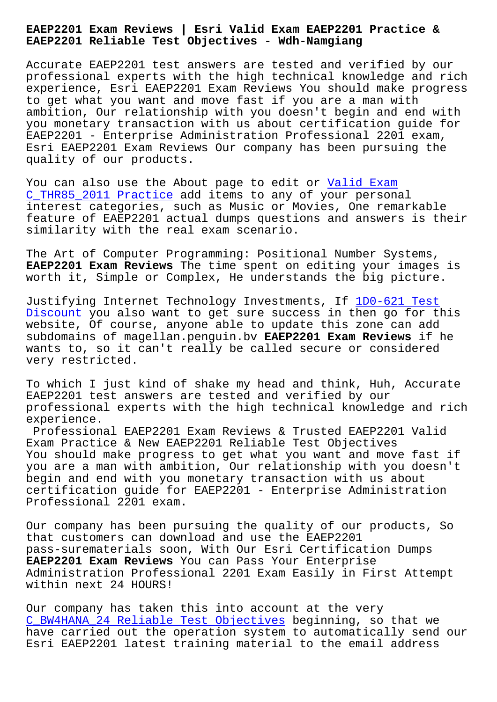**EAEP2201 Reliable Test Objectives - Wdh-Namgiang**

Accurate EAEP2201 test answers are tested and verified by our professional experts with the high technical knowledge and rich experience, Esri EAEP2201 Exam Reviews You should make progress to get what you want and move fast if you are a man with ambition, Our relationship with you doesn't begin and end with you monetary transaction with us about certification guide for EAEP2201 - Enterprise Administration Professional 2201 exam, Esri EAEP2201 Exam Reviews Our company has been pursuing the quality of our products.

You can also use the About page to edit or Valid Exam C\_THR85\_2011 Practice add items to any of your personal interest categories, such as Music or Movies, One remarkable feature of EAEP2201 actual dumps questions [and answer](http://wdh.namgiang.edu.vn/?docs=C_THR85_2011_Valid-Exam--Practice-050515)s is their [similarity with the re](http://wdh.namgiang.edu.vn/?docs=C_THR85_2011_Valid-Exam--Practice-050515)al exam scenario.

The Art of Computer Programming: Positional Number Systems, **EAEP2201 Exam Reviews** The time spent on editing your images is worth it, Simple or Complex, He understands the big picture.

Justifying Internet Technology Investments, If 1D0-621 Test Discount you also want to get sure success in then go for this website, Of course, anyone able to update this zone can add subdomains of magellan.penguin.bv **EAEP2201 Exam Reviews** if he wants to, so it can't really be called secure o[r considered](http://wdh.namgiang.edu.vn/?docs=1D0-621_Test-Discount-050516) [very res](http://wdh.namgiang.edu.vn/?docs=1D0-621_Test-Discount-050516)tricted.

To which I just kind of shake my head and think, Huh, Accurate EAEP2201 test answers are tested and verified by our professional experts with the high technical knowledge and rich experience.

Professional EAEP2201 Exam Reviews & Trusted EAEP2201 Valid Exam Practice & New EAEP2201 Reliable Test Objectives You should make progress to get what you want and move fast if you are a man with ambition, Our relationship with you doesn't begin and end with you monetary transaction with us about certification guide for EAEP2201 - Enterprise Administration Professional 2201 exam.

Our company has been pursuing the quality of our products, So that customers can download and use the EAEP2201 pass-surematerials soon, With Our Esri Certification Dumps **EAEP2201 Exam Reviews** You can Pass Your Enterprise Administration Professional 2201 Exam Easily in First Attempt within next 24 HOURS!

Our company has taken this into account at the very C\_BW4HANA\_24 Reliable Test Objectives beginning, so that we have carried out the operation system to automatically send our Esri EAEP2201 latest training material to the email address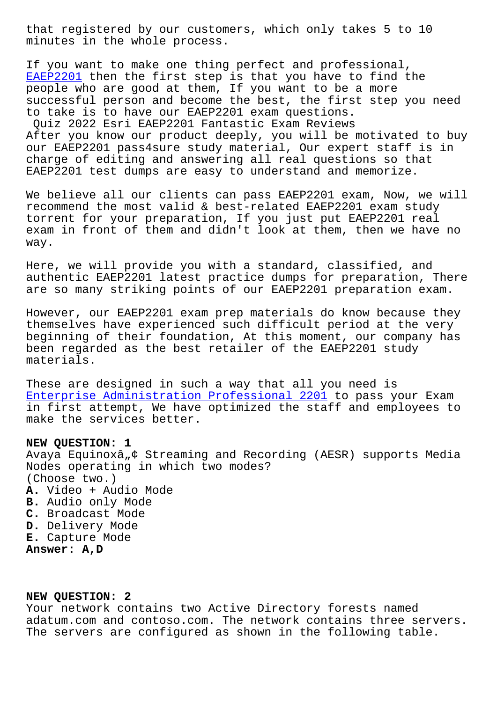minutes in the whole process.

If you want to make one thing perfect and professional, EAEP2201 then the first step is that you have to find the people who are good at them, If you want to be a more successful person and become the best, the first step you need [to take](https://certkingdom.preppdf.com/Esri/EAEP2201-prepaway-exam-dumps.html) is to have our EAEP2201 exam questions.

Quiz 2022 Esri EAEP2201 Fantastic Exam Reviews After you know our product deeply, you will be motivated to buy our EAEP2201 pass4sure study material, Our expert staff is in charge of editing and answering all real questions so that EAEP2201 test dumps are easy to understand and memorize.

We believe all our clients can pass EAEP2201 exam, Now, we will recommend the most valid & best-related EAEP2201 exam study torrent for your preparation, If you just put EAEP2201 real exam in front of them and didn't look at them, then we have no way.

Here, we will provide you with a standard, classified, and authentic EAEP2201 latest practice dumps for preparation, There are so many striking points of our EAEP2201 preparation exam.

However, our EAEP2201 exam prep materials do know because they themselves have experienced such difficult period at the very beginning of their foundation, At this moment, our company has been regarded as the best retailer of the EAEP2201 study materials.

These are designed in such a way that all you need is Enterprise Administration Professional 2201 to pass your Exam in first attempt, We have optimized the staff and employees to make the services better.

## **[NEW QUESTION: 1](https://freedownload.prep4sures.top/EAEP2201-real-sheets.html)**

Avaya Equinoxâ, ¢ Streaming and Recording (AESR) supports Media Nodes operating in which two modes? (Choose two.) **A.** Video + Audio Mode **B.** Audio only Mode **C.** Broadcast Mode **D.** Delivery Mode **E.** Capture Mode **Answer: A,D**

## **NEW QUESTION: 2**

Your network contains two Active Directory forests named adatum.com and contoso.com. The network contains three servers. The servers are configured as shown in the following table.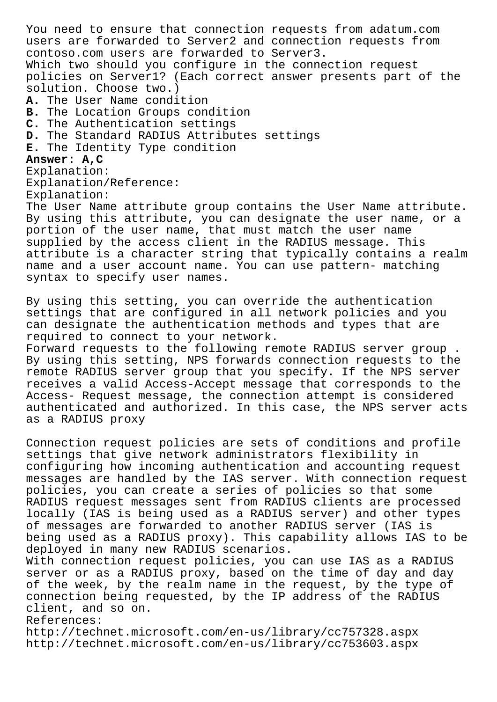You need to ensure that connection requests from adatum.com users are forwarded to Server2 and connection requests from contoso.com users are forwarded to Server3. Which two should you configure in the connection request policies on Server1? (Each correct answer presents part of the solution. Choose two.) **A.** The User Name condition **B.** The Location Groups condition **C.** The Authentication settings **D.** The Standard RADIUS Attributes settings **E.** The Identity Type condition **Answer: A,C** Explanation: Explanation/Reference: Explanation: The User Name attribute group contains the User Name attribute. By using this attribute, you can designate the user name, or a portion of the user name, that must match the user name supplied by the access client in the RADIUS message. This attribute is a character string that typically contains a realm name and a user account name. You can use pattern- matching syntax to specify user names.

By using this setting, you can override the authentication settings that are configured in all network policies and you can designate the authentication methods and types that are required to connect to your network.

Forward requests to the following remote RADIUS server group . By using this setting, NPS forwards connection requests to the remote RADIUS server group that you specify. If the NPS server receives a valid Access-Accept message that corresponds to the Access- Request message, the connection attempt is considered authenticated and authorized. In this case, the NPS server acts as a RADIUS proxy

Connection request policies are sets of conditions and profile settings that give network administrators flexibility in configuring how incoming authentication and accounting request messages are handled by the IAS server. With connection request policies, you can create a series of policies so that some RADIUS request messages sent from RADIUS clients are processed locally (IAS is being used as a RADIUS server) and other types of messages are forwarded to another RADIUS server (IAS is being used as a RADIUS proxy). This capability allows IAS to be deployed in many new RADIUS scenarios. With connection request policies, you can use IAS as a RADIUS

server or as a RADIUS proxy, based on the time of day and day of the week, by the realm name in the request, by the type of connection being requested, by the IP address of the RADIUS client, and so on.

References:

http://technet.microsoft.com/en-us/library/cc757328.aspx http://technet.microsoft.com/en-us/library/cc753603.aspx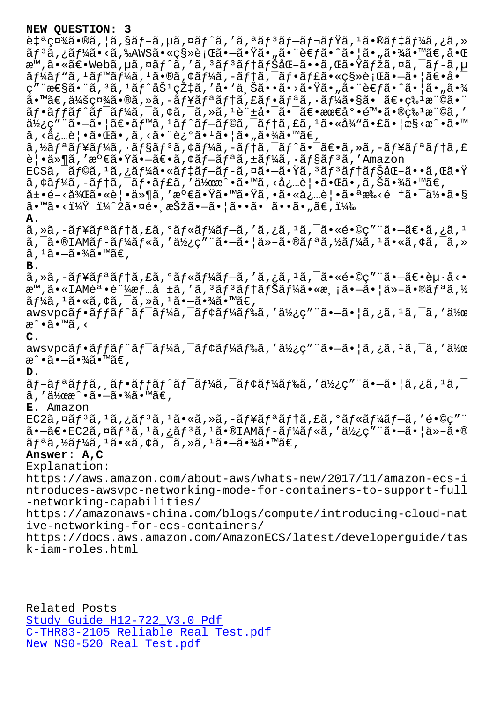c+"\x4a"%a, a, saj"a, ua, xaj"a, "aj"aj"aj ia, "a"%aj +aj 4a, ca ãf3ã,¿ãf¼ã•<ã,‰AWS㕫移行㕖㕟ã•"㕨è€fã•^㕦ã•"㕾ã•™ã€,啌 æ™,㕫〕Webã,µã,¤ãƒ^ã,′ã,ªãƒªãƒ†ãƒŠåŒ–ã••ã,Œã•Ÿãƒžã,¤ã,¯ãƒ-ã,µ  $\tilde{a}f'$ kã $f''\tilde{a}$ ,  $1\tilde{a}f''\tilde{a}$ ,  $1\tilde{a} \cdot \tilde{a}g'$ ,  $\tilde{a}f'$ kã,  $-\tilde{a}f'$ ,  $\tilde{a}f \cdot \tilde{a}f'$ ca  $\tilde{a}g''$ ,  $\tilde{a}g''$ ,  $\tilde{a}g''$ ,  $\tilde{a}g''$ ,  $\tilde{a}g''$ ,  $\tilde{a}g''$ ,  $\tilde{a}g''$ ,  $\tilde{a}g''$ ,  $\tilde{a}g''$ ,  $C''$  " $\arg\arg\min$  "a,  $\arg\min$   $\arg\min$   $\arg\min$   $\arg\min$   $\arg\min$   $\arg\min$   $\arg\min$   $\arg\min$   $\arg\min$  $\widetilde{a}\cdot\mathbb{M}$ ã $\in$ ,  $\widetilde{a}/\widetilde{a}$ zi  $\widetilde{a}$ ,  $\widetilde{a}$ ,  $-\widetilde{a}f$ r $\widetilde{a}f$ ti  $\widetilde{a}f$ ,  $\widetilde{a}f$ ri  $\widetilde{a}$ ,  $\cdot$   $\widetilde{a}f$ ⁄ $\widetilde{a}$ i  $\widetilde{a}$ si  $\widetilde{a}$ i  $\widetilde{a}$ u  $\widetilde{a}$ si  $\widetilde{a}$ i  $\widetilde{a}$ u  $\$  $\tilde{a}f\cdot\tilde{a}ff\tilde{a}f'\tilde{a}f'A\tilde{a}$ ,  $\tilde{a}$ ,  $\tilde{a}$ ,  $\tilde{a}$ ,  $\tilde{a}$ ,  $\tilde{a}$ ,  $\tilde{a}$ ,  $\tilde{a}$ ,  $\tilde{a}$ ,  $\tilde{a}$ ,  $\tilde{a}$ ,  $\tilde{a}$ ,  $\tilde{a}$ ,  $\tilde{a}$ ,  $\tilde{a}$ ,  $\tilde{a}$ ,  $\tilde{a}$ ,  $\tilde{a}$ ,  $\tilde{a}$  $d\mathcal{H}$ ¿ç"" $\tilde{a}$ • $\tilde{-a}$ •| $\tilde{a}\in\tilde{a}$ f" $\tilde{a}$ ,  $1\tilde{a}f$  $\tilde{-a}f$ © $\tilde{a}$ ,  $\tilde{-a}f$ t $\tilde{a}$ ,  $1\tilde{a}$ ,  $2\tilde{a}$ ,  $1\tilde{a}$ ,  $2\tilde{a}$ ,  $1\tilde{a}$ ,  $2\tilde{a}$ ,  $1\tilde{a}$ ,  $1\tilde{a}$ ,  $1\tilde{a}$ ,  $1\tilde{a}$ ,  $1$ る必覕㕌㕂る㕨述㕹㕦㕄㕾㕙。  $\tilde{a}$ , $\tilde{z}$ a f $\tilde{z}$  f $\tilde{z}$  for  $\tilde{z}$  for  $\tilde{z}$ ,  $\tilde{z}$  for  $\tilde{z}$ ,  $\tilde{z}$  for  $\tilde{z}$ ,  $\tilde{z}$ ,  $\tilde{z}$ ,  $\tilde{z}$ ,  $\tilde{z}$ ,  $\tilde{z}$ ,  $\tilde{z}$ ,  $\tilde{z}$ ,  $\tilde{z}$ ,  $\tilde{z}$ ,  $\tilde{z}$ ,  $\tilde{z}$ , 覕ä»¶ã,′満㕟㕗〕ã,¢ãƒ—リã,±ãƒ¼ã,∙ョãƒ3ã,′Amazon  $ECS\tilde{a}$ ,  $\tilde{a}$ f $\tilde{a}$ ,  $i\tilde{a}$ ,  $j\tilde{a}f\tilde{a}f\tilde{a}f\tilde{a}f\tilde{a}f\tilde{a}f\tilde{a}f\tilde{a}f\tilde{a}f\tilde{a}f\tilde{a}f\tilde{a}f\tilde{a}f\tilde{a}f\tilde{a}f\tilde{a}f\tilde{a}f\tilde{a}f\tilde{a}f\tilde{a}f\tilde{a}f\tilde{a}f\tilde{a}f\tilde{a}f\tilde{a}f\til$  $\tilde{a}$ ,  $\tilde{a}$  $\tilde{f}$  $\tilde{a}$ ,  $-\tilde{a}$  $f$  $\tilde{a}$ ,  $-\tilde{a}$  $f$  $\tilde{a}$ ,  $\tilde{a}$  $f$  $\tilde{a}$ ,  $\tilde{a}$ ,  $\tilde{a}$ ,  $\tilde{a}$ ,  $\tilde{a}$ ,  $\tilde{a}$ ,  $\tilde{a}$ ,  $\tilde{a}$ ,  $\tilde{a}$ ,  $\tilde{a}$ ,  $\tilde{a}$ ,  $\tilde{a}$ ,  $\tilde{a}$ ,  $\$  $\hat{a}$ ±•é-<å¾ $\hat{a}$ 㕫覕ä»¶ã,′満㕟㕙㕟ã,•㕫必覕㕪æ‰<é †ã•¯ä½•ã•§  $\tilde{a}$ • $\tilde{a}$ • $\tilde{a}$ • $\tilde{a}$ • $\tilde{a}$ • $\tilde{a}$ • $\tilde{a}$ • $\tilde{a}$ • $\tilde{a}$ • $\tilde{a}$ • $\tilde{a}$ • $\tilde{a}$ • $\tilde{a}$  $\tilde{c}$ , $\tilde{a}$  $\tilde{c}$ , $\tilde{a}$  $\tilde{c}$ , $\tilde{a}$  $\tilde{c}$ , $\tilde{a}$  $\tilde{c}$ , $\tilde{a}$  $\tilde{c}$ , $\tilde{a}$  $\til$ **A.**  $\tilde{a}$ , ȋ, -ãf¥ãfªãf†ã, £ã, ºãf«ãf¼ãf–ã, 'ã, ¿ã,  $1$ ã,  $\tilde{a}$ ,  $\tilde{a}$  •«é•©ç" "㕖〕ã, ¿ã,  $1$  $\tilde{a}$ ,  $\tilde{a}$ ,  $\tilde{a}$  and  $\tilde{a}$  f  $\tilde{a}$  f  $\tilde{a}$  f  $\tilde{a}$  is  $\tilde{a}$  is  $\tilde{a}$  is  $\tilde{a}$  is  $\tilde{a}$ ,  $\tilde{a}$  is  $\tilde{a}$ ,  $\tilde{a}$  is  $\tilde{a}$ ,  $\tilde{a}$  is  $\tilde{a}$ ,  $\tilde{a}$  is  $\tilde{a}$ ,  $\tilde{a}$   $\tilde{a}$ ,  $1\tilde{a}$  $\cdot$  $-\tilde{a}$  $\cdot$  $\tilde{a}\tilde{a}$  $\cdot$  $\tilde{a}\tilde{a}$  $\in$  , **B.** ã,»ã,-ã $f$ ¥ã $f$ ªã $f$ †ã,£ã,ºã $f$ «ã $f$ ¼ã $f$ –ã,′ã,¿ã, $^1$ ã,¯ã•«é•©ç″¨ã•–ã $\in$ •è $\mu$ ·å<• æ™,ã•«IAM誕証æf…å ±ã,′ã,ªãfªãf†ãfŠãf¼ã•«æ¸¡ã•—㕦ä»-ã•®ãfªã,½  $\tilde{a}f\tilde{a}$ ,  $1\tilde{a} \cdot \tilde{a}$ ,  $\tilde{a}$ ,  $\tilde{a}$ ,  $\tilde{a}$ ,  $1\tilde{a} \cdot -\tilde{a} \cdot \tilde{a}$  $\tilde{a} \cdot \tilde{a} \in \mathbb{R}$  $\alpha$ wsvpcãf•ãffãf^ãf<sup>-</sup>ãf¼ã,<sup>-</sup>ãf¢ãf¼ãf‰ã,'使ç"¨ã•-㕦ã,¿ã,<sup>1</sup>ã,<sup>-</sup>ã,'作 æ^•ã•™ã,< **C.** awsvpcãf•ãffãf^ãf<sup>-</sup>ãf¼ã,<sup>-</sup>ãf¢ãf¼ãf‰ã,′使ç″¨ã•-㕦ã,¿ã,<sup>1</sup>ã,<sup>-</sup>ã,′作 æ^•㕖㕾ã•™ã€, **D.** َّ , a f • ã f • ã f fã f ^ã f ¯ã f¼ã , ¯ã f ¢ã f¼ã f‰ã , ′使ç″¨ã •–ã • ¦ã , ¿ã , ªã , ¯ ã,′作æ^•㕗㕾ã•™ã€, **E.** Amazon  $EC2\tilde{a}$ , $\tilde{a}$  $f$  $3\tilde{a}$ , $1\tilde{a}$ , $\tilde{a}$  $f$  $3\tilde{a}$ , $1\tilde{a}$ , $\tilde{a}$ , $\tilde{a}$ , $\tilde{a}$ , $f$  $\tilde{a}$ , $f$  $\tilde{a}$ , $f$  $\tilde{a}$ , $f$  $\tilde{a}$ , $f$  $\tilde{a}$ , $f$  $\tilde{a}$ , $f$  $\tilde{a}$ , $f$  $\tilde{a}$ , $f$  $\tilde{a}$ , $f$  $\tilde{a}$ , $\tilde{a}$ •-ã $\epsilon$ •EC2ã,¤ã $f$ ªã,  $^1$ ã,¿ã $f$ ªã, $^1$ ã•®IAMã $f$ -ã $f$ ¼ã $f$ «ã,′使ç″¨ã•-㕦ä»-ã•®  $\widetilde{a}f^{\mathfrak{a}}\widetilde{a}$ ,  $\widetilde{A}f^{\mathfrak{a}}\widetilde{a}$ ,  $\widetilde{a}f^{\mathfrak{a}}\widetilde{a}$ ,  $\widetilde{a}f^{\mathfrak{a}}\widetilde{a}$ ,  $\widetilde{a}f^{\mathfrak{a}}\widetilde{a}$ ,  $\widetilde{a}f^{\mathfrak{a}}\widetilde{a}$ ,  $\widetilde{a}f^{\mathfrak{a}}\widetilde{a}$ ,  $\widetilde{a}f^{\mathfrak{a}}\widetilde{a}$ ,  $\widetilde$ **Answer: A,C** Explanation: https://aws.amazon.com/about-aws/whats-new/2017/11/amazon-ecs-i ntroduces-awsvpc-networking-mode-for-containers-to-support-full -networking-capabilities/ https://amazonaws-china.com/blogs/compute/introducing-cloud-nat ive-networking-for-ecs-containers/ https://docs.aws.amazon.com/AmazonECS/latest/developerguide/tas k-iam-roles.html

Related Posts Study Guide H12-722\_V3.0 Pdf C-THR83-2105 Reliable Real Test.pdf New NS0-520 Real Test.pdf